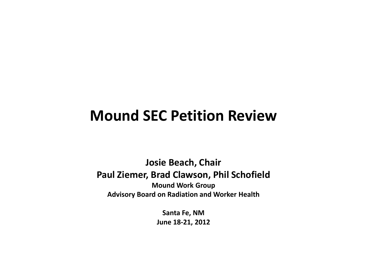# **Mound SEC Petition Review**

**Josie Beach, Chair Paul Ziemer, Brad Clawson, Phil Schofield Mound Work Group Advisory Board on Radiation and Worker Health**

> **Santa Fe, NM June 18-21, 2012**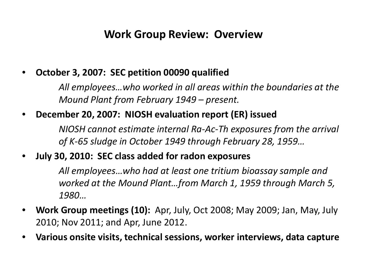### **Work Group Review: Overview**

#### • **October 3, 2007: SEC petition 00090 qualified**

*All employees…who worked in all areas within the boundaries at the Mound Plant from February 1949 – present.*

### • **December 20, 2007: NIOSH evaluation report (ER) issued**

*NIOSH cannot estimate internal Ra-Ac-Th exposures from the arrival of K-65 sludge in October 1949 through February 28, 1959…*

### • **July 30, 2010: SEC class added for radon exposures**

*All employees…who had at least one tritium bioassay sample and worked at the Mound Plant…from March 1, 1959 through March 5, 1980…*

- **Work Group meetings (10):** Apr, July, Oct 2008; May 2009; Jan, May, July 2010; Nov 2011; and Apr, June 2012.
- **Various onsite visits, technical sessions, worker interviews, data capture**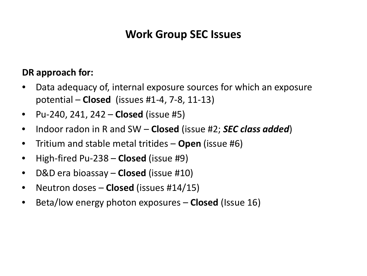## **Work Group SEC Issues**

#### **DR approach for:**

- Data adequacy of, internal exposure sources for which an exposure potential – **Closed** (issues #1-4, 7-8, 11-13)
- Pu-240, 241, 242 **Closed** (issue #5)
- Indoor radon in R and SW **Closed** (issue #2; *SEC class added*)
- Tritium and stable metal tritides **Open** (issue #6)
- High-fired Pu-238 **Closed** (issue #9)
- D&D era bioassay **Closed** (issue #10)
- Neutron doses **Closed** (issues #14/15)
- Beta/low energy photon exposures **Closed** (Issue 16)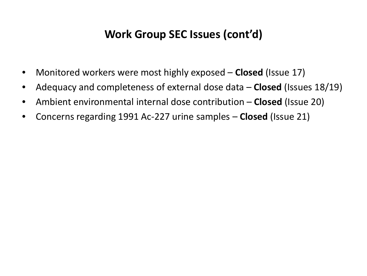## **Work Group SEC Issues (cont'd)**

- Monitored workers were most highly exposed **Closed** (Issue 17)
- Adequacy and completeness of external dose data **Closed** (Issues 18/19)
- Ambient environmental internal dose contribution **Closed** (Issue 20)
- Concerns regarding 1991 Ac-227 urine samples **Closed** (Issue 21)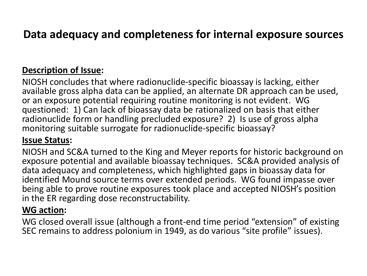## **Data adequacy and completeness for internal exposure sources**

#### **Description of Issue:**

NIOSH concludes that where radionuclide-specific bioassay is lacking, either available gross alpha data can be applied, an alternate DR approach can be used, or an exposure potential requiring routine monitoring is not evident. WG questioned: 1) Can lack of bioassay data be rationalized on basis that either radionuclide form or handling precluded exposure? 2) Is use of gross alpha monitoring suitable surrogate for radionuclide-specific bioassay?

#### **Issue Status:**

NIOSH and SC&A turned to the King and Meyer reports for historic background on exposure potential and available bioassay techniques. SC&A provided analysis of data adequacy and completeness, which highlighted gaps in bioassay data for identified Mound source terms over extended periods. WG found impasse over being able to prove routine exposures took place and accepted NIOSH's position in the ER regarding dose reconstructability.

#### **WG action:**

WG closed overall issue (although a front-end time period "extension" of existing SEC remains to address polonium in 1949, as do various "site profile" issues).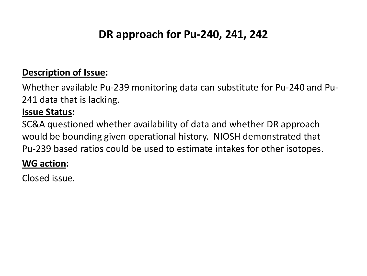# **DR approach for Pu-240, 241, 242**

#### **Description of Issue:**

Whether available Pu-239 monitoring data can substitute for Pu-240 and Pu-241 data that is lacking.

#### **Issue Status:**

SC&A questioned whether availability of data and whether DR approach would be bounding given operational history. NIOSH demonstrated that Pu-239 based ratios could be used to estimate intakes for other isotopes.

#### **WG action:**

Closed issue.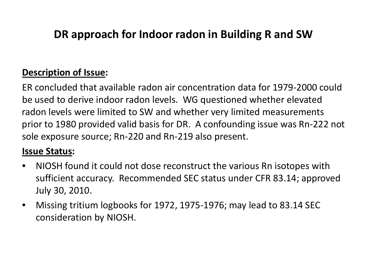# **DR approach for Indoor radon in Building R and SW**

### **Description of Issue:**

ER concluded that available radon air concentration data for 1979-2000 could be used to derive indoor radon levels. WG questioned whether elevated radon levels were limited to SW and whether very limited measurements prior to 1980 provided valid basis for DR. A confounding issue was Rn-222 not sole exposure source; Rn-220 and Rn-219 also present.

### **Issue Status:**

- NIOSH found it could not dose reconstruct the various Rn isotopes with sufficient accuracy. Recommended SEC status under CFR 83.14; approved July 30, 2010.
- Missing tritium logbooks for 1972, 1975-1976; may lead to 83.14 SEC consideration by NIOSH.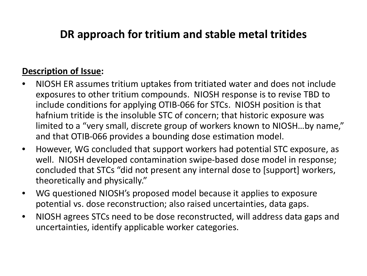## **DR approach for tritium and stable metal tritides**

#### **Description of Issue:**

- NIOSH ER assumes tritium uptakes from tritiated water and does not include exposures to other tritium compounds. NIOSH response is to revise TBD to include conditions for applying OTIB-066 for STCs. NIOSH position is that hafnium tritide is the insoluble STC of concern; that historic exposure was limited to a "very small, discrete group of workers known to NIOSH…by name," and that OTIB-066 provides a bounding dose estimation model.
- However, WG concluded that support workers had potential STC exposure, as well. NIOSH developed contamination swipe-based dose model in response; concluded that STCs "did not present any internal dose to [support] workers, theoretically and physically."
- WG questioned NIOSH's proposed model because it applies to exposure potential vs. dose reconstruction; also raised uncertainties, data gaps.
- NIOSH agrees STCs need to be dose reconstructed, will address data gaps and uncertainties, identify applicable worker categories.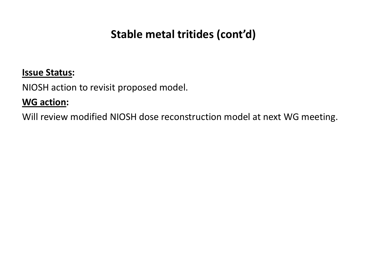# **Stable metal tritides (cont'd)**

#### **Issue Status:**

NIOSH action to revisit proposed model.

#### **WG action:**

Will review modified NIOSH dose reconstruction model at next WG meeting.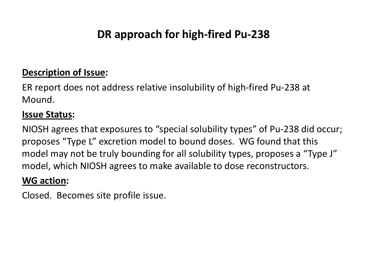# **DR approach for high-fired Pu-238**

#### **Description of Issue:**

ER report does not address relative insolubility of high-fired Pu-238 at Mound.

#### **Issue Status:**

NIOSH agrees that exposures to "special solubility types" of Pu-238 did occur; proposes "Type L" excretion model to bound doses. WG found that this model may not be truly bounding for all solubility types, proposes a "Type J" model, which NIOSH agrees to make available to dose reconstructors.

#### **WG action:**

Closed. Becomes site profile issue.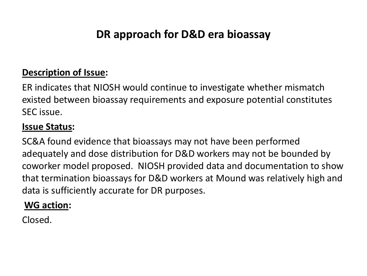# **DR approach for D&D era bioassay**

#### **Description of Issue:**

ER indicates that NIOSH would continue to investigate whether mismatch existed between bioassay requirements and exposure potential constitutes SEC issue.

#### **Issue Status:**

SC&A found evidence that bioassays may not have been performed adequately and dose distribution for D&D workers may not be bounded by coworker model proposed. NIOSH provided data and documentation to show that termination bioassays for D&D workers at Mound was relatively high and data is sufficiently accurate for DR purposes.

### **WG action:**

Closed.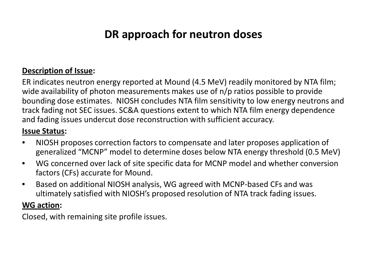# **DR approach for neutron doses**

#### **Description of Issue:**

ER indicates neutron energy reported at Mound (4.5 MeV) readily monitored by NTA film; wide availability of photon measurements makes use of n/p ratios possible to provide bounding dose estimates. NIOSH concludes NTA film sensitivity to low energy neutrons and track fading not SEC issues. SC&A questions extent to which NTA film energy dependence and fading issues undercut dose reconstruction with sufficient accuracy.

#### **Issue Status:**

- NIOSH proposes correction factors to compensate and later proposes application of generalized "MCNP" model to determine doses below NTA energy threshold (0.5 MeV)
- WG concerned over lack of site specific data for MCNP model and whether conversion factors (CFs) accurate for Mound.
- Based on additional NIOSH analysis, WG agreed with MCNP-based CFs and was ultimately satisfied with NIOSH's proposed resolution of NTA track fading issues.

#### **WG action:**

Closed, with remaining site profile issues.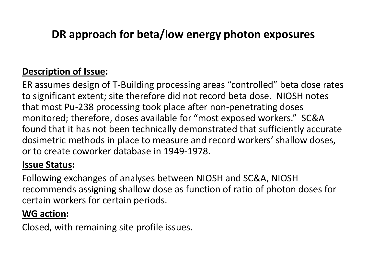# **DR approach for beta/low energy photon exposures**

### **Description of Issue:**

ER assumes design of T-Building processing areas "controlled" beta dose rates to significant extent; site therefore did not record beta dose. NIOSH notes that most Pu-238 processing took place after non-penetrating doses monitored; therefore, doses available for "most exposed workers." SC&A found that it has not been technically demonstrated that sufficiently accurate dosimetric methods in place to measure and record workers' shallow doses, or to create coworker database in 1949-1978.

#### **Issue Status:**

Following exchanges of analyses between NIOSH and SC&A, NIOSH recommends assigning shallow dose as function of ratio of photon doses for certain workers for certain periods.

### **WG action:**

Closed, with remaining site profile issues.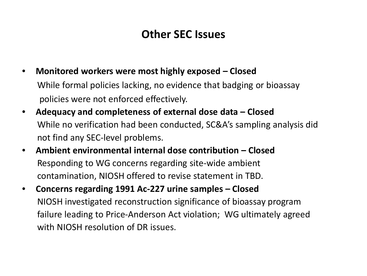## **Other SEC Issues**

- **Monitored workers were most highly exposed – Closed** While formal policies lacking, no evidence that badging or bioassay policies were not enforced effectively.
- **Adequacy and completeness of external dose data – Closed** While no verification had been conducted, SC&A's sampling analysis did not find any SEC-level problems.
- **Ambient environmental internal dose contribution – Closed** Responding to WG concerns regarding site-wide ambient contamination, NIOSH offered to revise statement in TBD.
- **Concerns regarding 1991 Ac-227 urine samples – Closed** NIOSH investigated reconstruction significance of bioassay program failure leading to Price-Anderson Act violation; WG ultimately agreed with NIOSH resolution of DR issues.